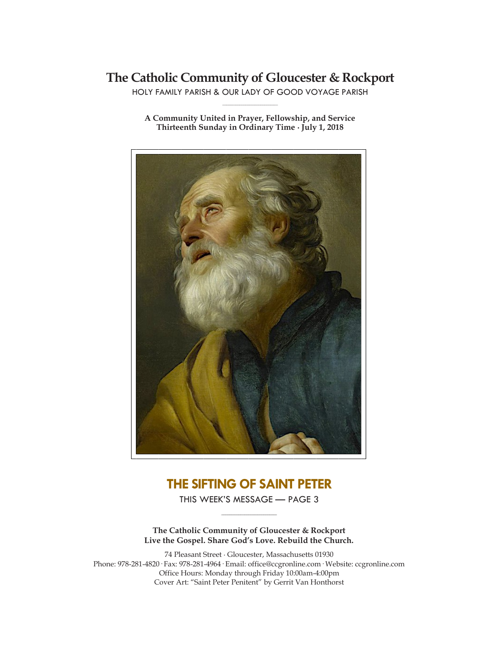## **The Catholic Community of Gloucester & Rockport**

HOLY FAMILY PARISH & OUR LADY OF GOOD VOYAGE PARISH **\_\_\_\_\_\_\_\_\_\_\_\_\_\_\_\_\_\_\_\_\_\_\_\_\_\_\_\_\_**

**A Community United in Prayer, Fellowship, and Service Thirteenth Sunday in Ordinary Time ∙ July 1, 2018**



## **THE SIFTING OF SAINT PETER**

THIS WEEK'S MESSAGE — PAGE 3 **\_\_\_\_\_\_\_\_\_\_\_\_\_\_\_\_\_\_\_\_\_\_\_\_\_\_\_\_\_**

**The Catholic Community of Gloucester & Rockport Live the Gospel. Share God's Love. Rebuild the Church.**

74 Pleasant Street ∙ Gloucester, Massachusetts 01930 Phone: 978-281-4820· Fax: 978-281-4964· Email: office@ccgronline.com· Website: ccgronline.com Office Hours: Monday through Friday 10:00am-4:00pm Cover Art: "Saint Peter Penitent" by Gerrit Van Honthorst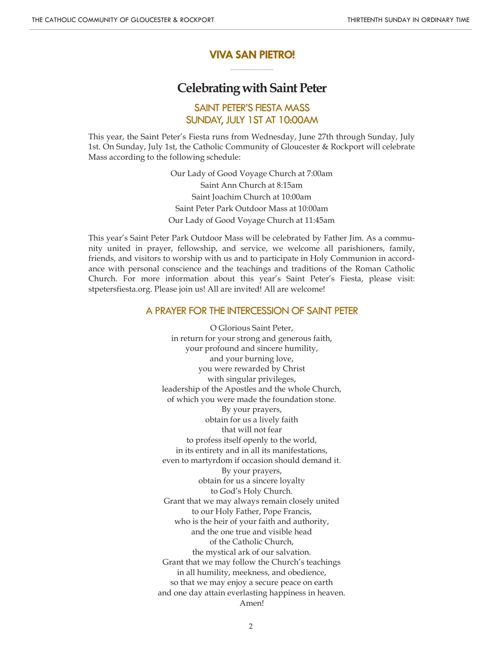## **VIVA SAN PIETRO! \_\_\_\_\_\_\_\_\_\_\_\_\_\_\_\_\_\_\_\_\_**

## **Celebrating with Saint Peter**

## SAINT PETER'S FIESTA MASS SUNDAY, JULY 1ST AT 10:00AM

This year, the Saint Peter's Fiesta runs from Wednesday, June 27th through Sunday, July 1st. On Sunday, July 1st, the Catholic Community of Gloucester & Rockport will celebrate Mass according to the following schedule:

> Our Lady of Good Voyage Church at 7:00am Saint Ann Church at 8:15am Saint Joachim Church at 10:00am Saint Peter Park Outdoor Mass at 10:00am Our Lady of Good Voyage Church at 11:45am

This year's Saint Peter Park Outdoor Mass will be celebrated by Father Jim. As a community united in prayer, fellowship, and service, we welcome all parishioners, family, friends, and visitors to worship with us and to participate in Holy Communion in accordance with personal conscience and the teachings and traditions of the Roman Catholic Church. For more information about this year's Saint Peter's Fiesta, please visit: stpetersfiesta.org. Please join us! All are invited! All are welcome!

## A PRAYER FOR THE INTERCESSION OF SAINT PETER

O Glorious Saint Peter, in return for your strong and generous faith, your profound and sincere humility, and your burning love, you were rewarded by Christ with singular privileges, leadership of the Apostles and the whole Church, of which you were made the foundation stone. By your prayers, obtain for us a lively faith that will not fear to profess itself openly to the world, in its entirety and in all its manifestations, even to martyrdom if occasion should demand it. By your prayers, obtain for us a sincere loyalty to God's Holy Church. Grant that we may always remain closely united to our Holy Father, Pope Francis, who is the heir of your faith and authority, and the one true and visible head of the Catholic Church, the mystical ark of our salvation. Grant that we may follow the Church's teachings in all humility, meekness, and obedience, so that we may enjoy a secure peace on earth and one day attain everlasting happiness in heaven. Amen!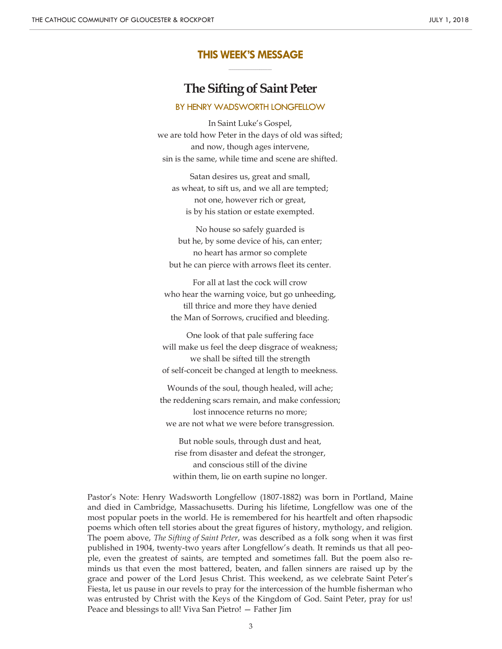## **THIS WEEK'S MESSAGE \_\_\_\_\_\_\_\_\_\_\_\_\_\_\_\_\_\_\_\_\_**

# **The Sifting of Saint Peter**

#### BY HENRY WADSWORTH LONGFELLOW

In Saint Luke's Gospel, we are told how Peter in the days of old was sifted; and now, though ages intervene, sin is the same, while time and scene are shifted.

Satan desires us, great and small, as wheat, to sift us, and we all are tempted; not one, however rich or great, is by his station or estate exempted.

No house so safely guarded is but he, by some device of his, can enter; no heart has armor so complete but he can pierce with arrows fleet its center.

For all at last the cock will crow who hear the warning voice, but go unheeding, till thrice and more they have denied the Man of Sorrows, crucified and bleeding.

One look of that pale suffering face will make us feel the deep disgrace of weakness; we shall be sifted till the strength of self-conceit be changed at length to meekness.

Wounds of the soul, though healed, will ache; the reddening scars remain, and make confession; lost innocence returns no more; we are not what we were before transgression.

But noble souls, through dust and heat, rise from disaster and defeat the stronger, and conscious still of the divine within them, lie on earth supine no longer.

Pastor's Note: Henry Wadsworth Longfellow (1807-1882) was born in Portland, Maine and died in Cambridge, Massachusetts. During his lifetime, Longfellow was one of the most popular poets in the world. He is remembered for his heartfelt and often rhapsodic poems which often tell stories about the great figures of history, mythology, and religion. The poem above, *The Sifting of Saint Peter*, was described as a folk song when it was first published in 1904, twenty-two years after Longfellow's death. It reminds us that all people, even the greatest of saints, are tempted and sometimes fall. But the poem also reminds us that even the most battered, beaten, and fallen sinners are raised up by the grace and power of the Lord Jesus Christ. This weekend, as we celebrate Saint Peter's Fiesta, let us pause in our revels to pray for the intercession of the humble fisherman who was entrusted by Christ with the Keys of the Kingdom of God. Saint Peter, pray for us! Peace and blessings to all! Viva San Pietro! — Father Jim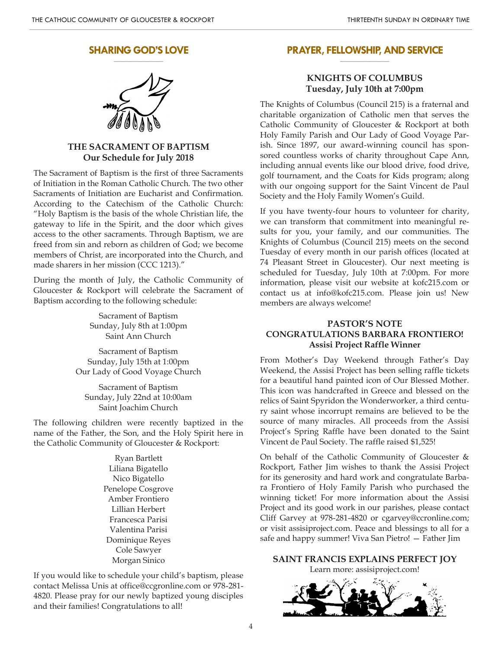#### **SHARING GOD'S LOVE \_\_\_\_\_\_\_\_\_\_\_\_\_\_\_\_\_\_\_\_**



## **THE SACRAMENT OF BAPTISM Our Schedule for July 2018**

The Sacrament of Baptism is the first of three Sacraments of Initiation in the Roman Catholic Church. The two other Sacraments of Initiation are Eucharist and Confirmation. According to the Catechism of the Catholic Church: "Holy Baptism is the basis of the whole Christian life, the gateway to life in the Spirit, and the door which gives access to the other sacraments. Through Baptism, we are freed from sin and reborn as children of God; we become members of Christ, are incorporated into the Church, and made sharers in her mission (CCC 1213)."

During the month of July, the Catholic Community of Gloucester & Rockport will celebrate the Sacrament of Baptism according to the following schedule:

> Sacrament of Baptism Sunday, July 8th at 1:00pm Saint Ann Church

Sacrament of Baptism Sunday, July 15th at 1:00pm Our Lady of Good Voyage Church

Sacrament of Baptism Sunday, July 22nd at 10:00am Saint Joachim Church

The following children were recently baptized in the name of the Father, the Son, and the Holy Spirit here in the Catholic Community of Gloucester & Rockport:

> Ryan Bartlett Liliana Bigatello Nico Bigatello Penelope Cosgrove Amber Frontiero Lillian Herbert Francesca Parisi Valentina Parisi Dominique Reyes Cole Sawyer Morgan Sinico

If you would like to schedule your child's baptism, please contact Melissa Unis at office@ccgronline.com or 978-281- 4820. Please pray for our newly baptized young disciples and their families! Congratulations to all!

#### **PRAYER, FELLOWSHIP, AND SERVICE \_\_\_\_\_\_\_\_\_\_\_\_\_\_\_\_\_\_\_\_**

## **KNIGHTS OF COLUMBUS Tuesday, July 10th at 7:00pm**

The Knights of Columbus (Council 215) is a fraternal and charitable organization of Catholic men that serves the Catholic Community of Gloucester & Rockport at both Holy Family Parish and Our Lady of Good Voyage Parish. Since 1897, our award-winning council has sponsored countless works of charity throughout Cape Ann, including annual events like our blood drive, food drive, golf tournament, and the Coats for Kids program; along with our ongoing support for the Saint Vincent de Paul Society and the Holy Family Women's Guild.

If you have twenty-four hours to volunteer for charity, we can transform that commitment into meaningful results for you, your family, and our communities. The Knights of Columbus (Council 215) meets on the second Tuesday of every month in our parish offices (located at 74 Pleasant Street in Gloucester). Our next meeting is scheduled for Tuesday, July 10th at 7:00pm. For more information, please visit our website at kofc215.com or contact us at info@kofc215.com. Please join us! New members are always welcome!

## **PASTOR'S NOTE CONGRATULATIONS BARBARA FRONTIERO! Assisi Project Raffle Winner**

From Mother's Day Weekend through Father's Day Weekend, the Assisi Project has been selling raffle tickets for a beautiful hand painted icon of Our Blessed Mother. This icon was handcrafted in Greece and blessed on the relics of Saint Spyridon the Wonderworker, a third century saint whose incorrupt remains are believed to be the source of many miracles. All proceeds from the Assisi Project's Spring Raffle have been donated to the Saint Vincent de Paul Society. The raffle raised \$1,525!

On behalf of the Catholic Community of Gloucester & Rockport, Father Jim wishes to thank the Assisi Project for its generosity and hard work and congratulate Barbara Frontiero of Holy Family Parish who purchased the winning ticket! For more information about the Assisi Project and its good work in our parishes, please contact Cliff Garvey at 978-281-4820 or cgarvey@ccronline.com; or visit assisiproject.com. Peace and blessings to all for a safe and happy summer! Viva San Pietro! — Father Jim

**SAINT FRANCIS EXPLAINS PERFECT JOY** Learn more: assisiproject.com!

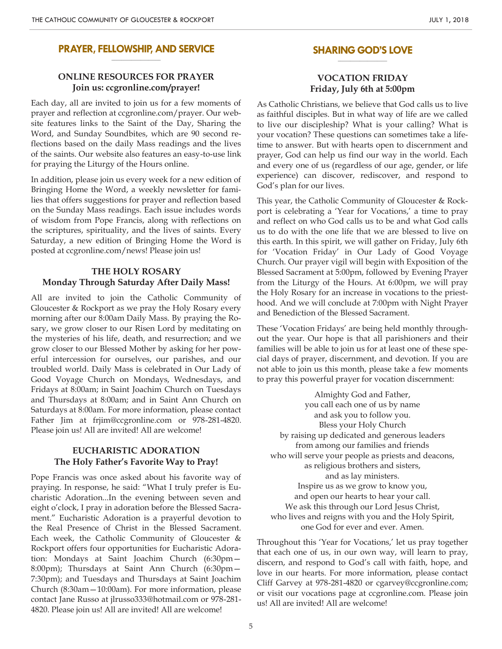#### **PRAYER, FELLOWSHIP, AND SERVICE \_\_\_\_\_\_\_\_\_\_\_\_\_\_\_\_\_\_\_\_**

## **ONLINE RESOURCES FOR PRAYER Join us: ccgronline.com/prayer!**

Each day, all are invited to join us for a few moments of prayer and reflection at ccgronline.com/prayer. Our website features links to the Saint of the Day, Sharing the Word, and Sunday Soundbites, which are 90 second reflections based on the daily Mass readings and the lives of the saints. Our website also features an easy-to-use link for praying the Liturgy of the Hours online.

In addition, please join us every week for a new edition of Bringing Home the Word, a weekly newsletter for families that offers suggestions for prayer and reflection based on the Sunday Mass readings. Each issue includes words of wisdom from Pope Francis, along with reflections on the scriptures, spirituality, and the lives of saints. Every Saturday, a new edition of Bringing Home the Word is posted at ccgronline.com/news! Please join us!

## **THE HOLY ROSARY Monday Through Saturday After Daily Mass!**

All are invited to join the Catholic Community of Gloucester & Rockport as we pray the Holy Rosary every morning after our 8:00am Daily Mass. By praying the Rosary, we grow closer to our Risen Lord by meditating on the mysteries of his life, death, and resurrection; and we grow closer to our Blessed Mother by asking for her powerful intercession for ourselves, our parishes, and our troubled world. Daily Mass is celebrated in Our Lady of Good Voyage Church on Mondays, Wednesdays, and Fridays at 8:00am; in Saint Joachim Church on Tuesdays and Thursdays at 8:00am; and in Saint Ann Church on Saturdays at 8:00am. For more information, please contact Father Jim at frjim@ccgronline.com or 978-281-4820. Please join us! All are invited! All are welcome!

## **EUCHARISTIC ADORATION The Holy Father's Favorite Way to Pray!**

Pope Francis was once asked about his favorite way of praying. In response, he said: "What I truly prefer is Eucharistic Adoration...In the evening between seven and eight o'clock, I pray in adoration before the Blessed Sacrament." Eucharistic Adoration is a prayerful devotion to the Real Presence of Christ in the Blessed Sacrament. Each week, the Catholic Community of Gloucester & Rockport offers four opportunities for Eucharistic Adoration: Mondays at Saint Joachim Church (6:30pm— 8:00pm); Thursdays at Saint Ann Church (6:30pm— 7:30pm); and Tuesdays and Thursdays at Saint Joachim Church (8:30am—10:00am). For more information, please contact Jane Russo at jlrusso333@hotmail.com or 978-281- 4820. Please join us! All are invited! All are welcome!

#### **SHARING GOD'S LOVE \_\_\_\_\_\_\_\_\_\_\_\_\_\_\_\_\_\_\_\_**

### **VOCATION FRIDAY Friday, July 6th at 5:00pm**

As Catholic Christians, we believe that God calls us to live as faithful disciples. But in what way of life are we called to live our discipleship? What is your calling? What is your vocation? These questions can sometimes take a lifetime to answer. But with hearts open to discernment and prayer, God can help us find our way in the world. Each and every one of us (regardless of our age, gender, or life experience) can discover, rediscover, and respond to God's plan for our lives.

This year, the Catholic Community of Gloucester & Rockport is celebrating a 'Year for Vocations,' a time to pray and reflect on who God calls us to be and what God calls us to do with the one life that we are blessed to live on this earth. In this spirit, we will gather on Friday, July 6th for 'Vocation Friday' in Our Lady of Good Voyage Church. Our prayer vigil will begin with Exposition of the Blessed Sacrament at 5:00pm, followed by Evening Prayer from the Liturgy of the Hours. At 6:00pm, we will pray the Holy Rosary for an increase in vocations to the priesthood. And we will conclude at 7:00pm with Night Prayer and Benediction of the Blessed Sacrament.

These 'Vocation Fridays' are being held monthly throughout the year. Our hope is that all parishioners and their families will be able to join us for at least one of these special days of prayer, discernment, and devotion. If you are not able to join us this month, please take a few moments to pray this powerful prayer for vocation discernment:

Almighty God and Father, you call each one of us by name and ask you to follow you. Bless your Holy Church by raising up dedicated and generous leaders from among our families and friends who will serve your people as priests and deacons, as religious brothers and sisters, and as lay ministers. Inspire us as we grow to know you, and open our hearts to hear your call. We ask this through our Lord Jesus Christ, who lives and reigns with you and the Holy Spirit, one God for ever and ever. Amen.

Throughout this 'Year for Vocations,' let us pray together that each one of us, in our own way, will learn to pray, discern, and respond to God's call with faith, hope, and love in our hearts. For more information, please contact Cliff Garvey at 978-281-4820 or cgarvey@ccgronline.com; or visit our vocations page at ccgronline.com. Please join us! All are invited! All are welcome!